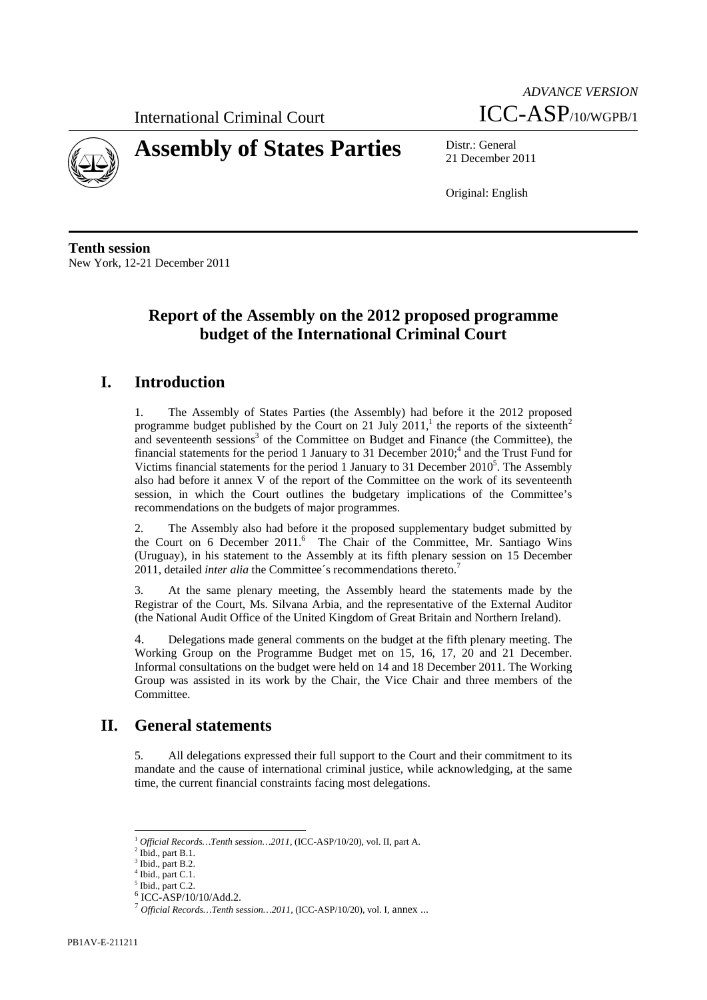International Criminal Court



# **Assembly of States Parties** Distr.: General

*ADVANCE VERSION* ICC-ASP/10/WGPB/1

21 December 2011

Original: English

**Tenth session**  New York, 12-21 December 2011

### **Report of the Assembly on the 2012 proposed programme budget of the International Criminal Court**

### **I. Introduction**

1. The Assembly of States Parties (the Assembly) had before it the 2012 proposed programme budget published by the Court on 21 July 2011,<sup>1</sup> the reports of the sixteenth<sup>2</sup> and seventeenth sessions<sup>3</sup> of the Committee on Budget and Finance (the Committee), the financial statements for the period 1 January to 31 December  $2010<sup>4</sup>$ , and the Trust Fund for Victims financial statements for the period 1 January to 31 December  $2010<sup>5</sup>$ . The Assembly also had before it annex V of the report of the Committee on the work of its seventeenth session, in which the Court outlines the budgetary implications of the Committee's recommendations on the budgets of major programmes.

2. The Assembly also had before it the proposed supplementary budget submitted by the Court on 6 December 2011.<sup>6</sup> The Chair of the Committee, Mr. Santiago Wins (Uruguay), in his statement to the Assembly at its fifth plenary session on 15 December 2011, detailed *inter alia* the Committee's recommendations thereto.<sup>7</sup>

3. At the same plenary meeting, the Assembly heard the statements made by the Registrar of the Court, Ms. Silvana Arbia, and the representative of the External Auditor (the National Audit Office of the United Kingdom of Great Britain and Northern Ireland).

4. Delegations made general comments on the budget at the fifth plenary meeting. The Working Group on the Programme Budget met on 15, 16, 17, 20 and 21 December. Informal consultations on the budget were held on 14 and 18 December 2011. The Working Group was assisted in its work by the Chair, the Vice Chair and three members of the Committee.

### **II. General statements**

5. All delegations expressed their full support to the Court and their commitment to its mandate and the cause of international criminal justice, while acknowledging, at the same time, the current financial constraints facing most delegations.

 <sup>1</sup> *Official Records…Tenth session…2011,* (ICC-ASP/10/20), vol. II, part A.

Ibid., part B.1.

Ibid., part B.2.

 $<sup>4</sup>$  Ibid., part C.1.</sup>

<sup>&</sup>lt;sup>5</sup> Ibid., part C.2.

<sup>6</sup> ICC-ASP/10/10/Add.2.

<sup>7</sup> *Official Records…Tenth session…2011,* (ICC-ASP/10/20), vol. I, annex ...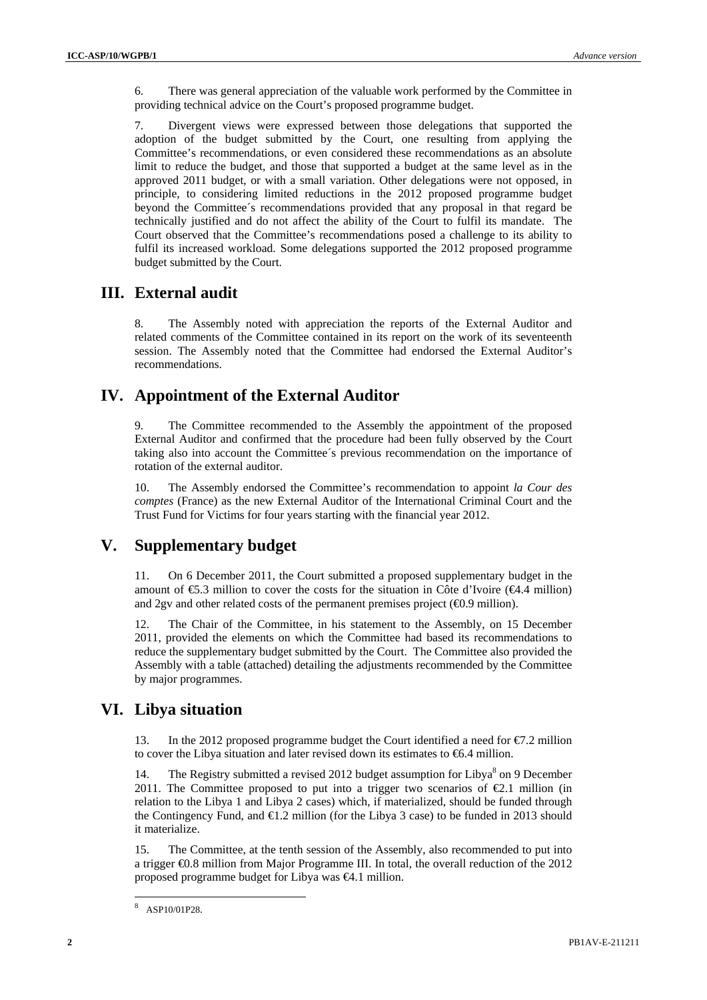6. There was general appreciation of the valuable work performed by the Committee in providing technical advice on the Court's proposed programme budget.

7. Divergent views were expressed between those delegations that supported the adoption of the budget submitted by the Court, one resulting from applying the Committee's recommendations, or even considered these recommendations as an absolute limit to reduce the budget, and those that supported a budget at the same level as in the approved 2011 budget, or with a small variation. Other delegations were not opposed, in principle, to considering limited reductions in the 2012 proposed programme budget beyond the Committee´s recommendations provided that any proposal in that regard be technically justified and do not affect the ability of the Court to fulfil its mandate. The Court observed that the Committee's recommendations posed a challenge to its ability to fulfil its increased workload. Some delegations supported the 2012 proposed programme budget submitted by the Court.

### **III. External audit**

8. The Assembly noted with appreciation the reports of the External Auditor and related comments of the Committee contained in its report on the work of its seventeenth session. The Assembly noted that the Committee had endorsed the External Auditor's recommendations.

### **IV. Appointment of the External Auditor**

9. The Committee recommended to the Assembly the appointment of the proposed External Auditor and confirmed that the procedure had been fully observed by the Court taking also into account the Committee´s previous recommendation on the importance of rotation of the external auditor.

10. The Assembly endorsed the Committee's recommendation to appoint *la Cour des comptes* (France) as the new External Auditor of the International Criminal Court and the Trust Fund for Victims for four years starting with the financial year 2012.

### **V. Supplementary budget**

11. On 6 December 2011, the Court submitted a proposed supplementary budget in the amount of  $\epsilon$ 5.3 million to cover the costs for the situation in Côte d'Ivoire ( $\epsilon$ 4.4 million) and 2gv and other related costs of the permanent premises project  $(40.9 \text{ million})$ .

12. The Chair of the Committee, in his statement to the Assembly, on 15 December 2011, provided the elements on which the Committee had based its recommendations to reduce the supplementary budget submitted by the Court. The Committee also provided the Assembly with a table (attached) detailing the adjustments recommended by the Committee by major programmes.

### **VI. Libya situation**

13. In the 2012 proposed programme budget the Court identified a need for  $\epsilon$ 7.2 million to cover the Libya situation and later revised down its estimates to  $\epsilon$ 6.4 million.

14. The Registry submitted a revised 2012 budget assumption for Libya $\delta$  on 9 December 2011. The Committee proposed to put into a trigger two scenarios of  $E$ .1 million (in relation to the Libya 1 and Libya 2 cases) which, if materialized, should be funded through the Contingency Fund, and €1.2 million (for the Libya 3 case) to be funded in 2013 should it materialize.

The Committee, at the tenth session of the Assembly, also recommended to put into a trigger €0.8 million from Major Programme III. In total, the overall reduction of the 2012 proposed programme budget for Libya was €4.1 million.

 8 ASP10/01P28.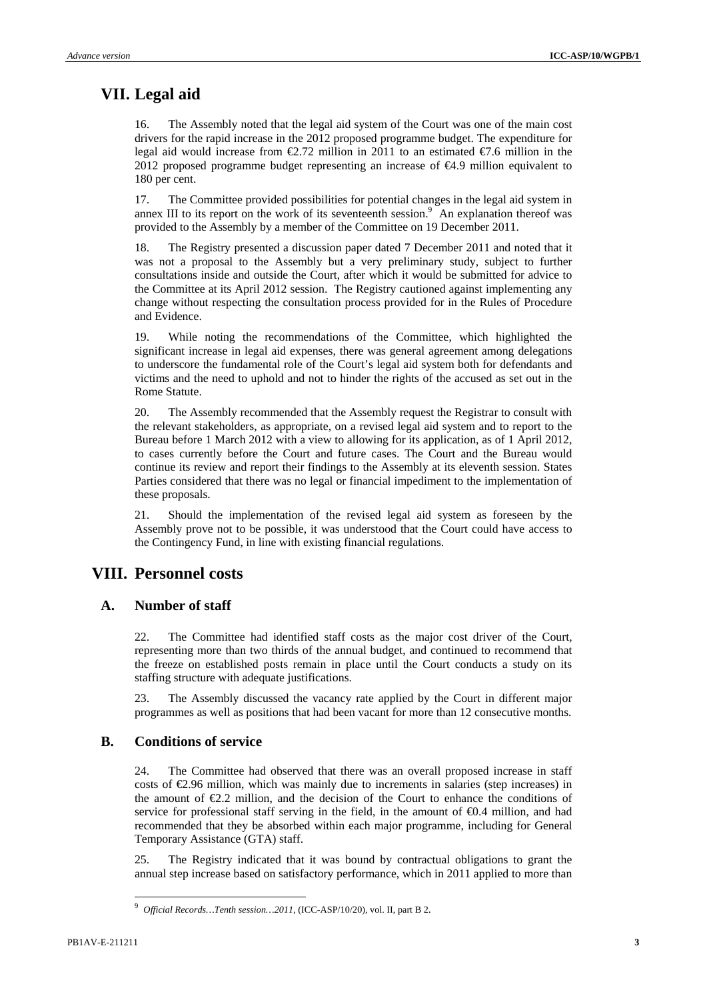### **VII. Legal aid**

16. The Assembly noted that the legal aid system of the Court was one of the main cost drivers for the rapid increase in the 2012 proposed programme budget. The expenditure for legal aid would increase from  $\epsilon$ 2.72 million in 2011 to an estimated  $\epsilon$ 7.6 million in the 2012 proposed programme budget representing an increase of €4.9 million equivalent to 180 per cent.

17. The Committee provided possibilities for potential changes in the legal aid system in annex III to its report on the work of its seventeenth session.<sup>9</sup> An explanation thereof was provided to the Assembly by a member of the Committee on 19 December 2011.

18. The Registry presented a discussion paper dated 7 December 2011 and noted that it was not a proposal to the Assembly but a very preliminary study, subject to further consultations inside and outside the Court, after which it would be submitted for advice to the Committee at its April 2012 session. The Registry cautioned against implementing any change without respecting the consultation process provided for in the Rules of Procedure and Evidence.

19. While noting the recommendations of the Committee, which highlighted the significant increase in legal aid expenses, there was general agreement among delegations to underscore the fundamental role of the Court's legal aid system both for defendants and victims and the need to uphold and not to hinder the rights of the accused as set out in the Rome Statute.

20. The Assembly recommended that the Assembly request the Registrar to consult with the relevant stakeholders, as appropriate, on a revised legal aid system and to report to the Bureau before 1 March 2012 with a view to allowing for its application, as of 1 April 2012, to cases currently before the Court and future cases. The Court and the Bureau would continue its review and report their findings to the Assembly at its eleventh session. States Parties considered that there was no legal or financial impediment to the implementation of these proposals.

21. Should the implementation of the revised legal aid system as foreseen by the Assembly prove not to be possible, it was understood that the Court could have access to the Contingency Fund, in line with existing financial regulations.

#### **VIII. Personnel costs**

#### **A. Number of staff**

22. The Committee had identified staff costs as the major cost driver of the Court, representing more than two thirds of the annual budget, and continued to recommend that the freeze on established posts remain in place until the Court conducts a study on its staffing structure with adequate justifications.

23. The Assembly discussed the vacancy rate applied by the Court in different major programmes as well as positions that had been vacant for more than 12 consecutive months.

#### **B. Conditions of service**

24. The Committee had observed that there was an overall proposed increase in staff costs of €2.96 million, which was mainly due to increments in salaries (step increases) in the amount of  $E.2$  million, and the decision of the Court to enhance the conditions of service for professional staff serving in the field, in the amount of €0.4 million, and had recommended that they be absorbed within each major programme, including for General Temporary Assistance (GTA) staff.

25. The Registry indicated that it was bound by contractual obligations to grant the annual step increase based on satisfactory performance, which in 2011 applied to more than

<sup>9</sup> *Official Records…Tenth session…2011,* (ICC-ASP/10/20), vol. II, part B 2.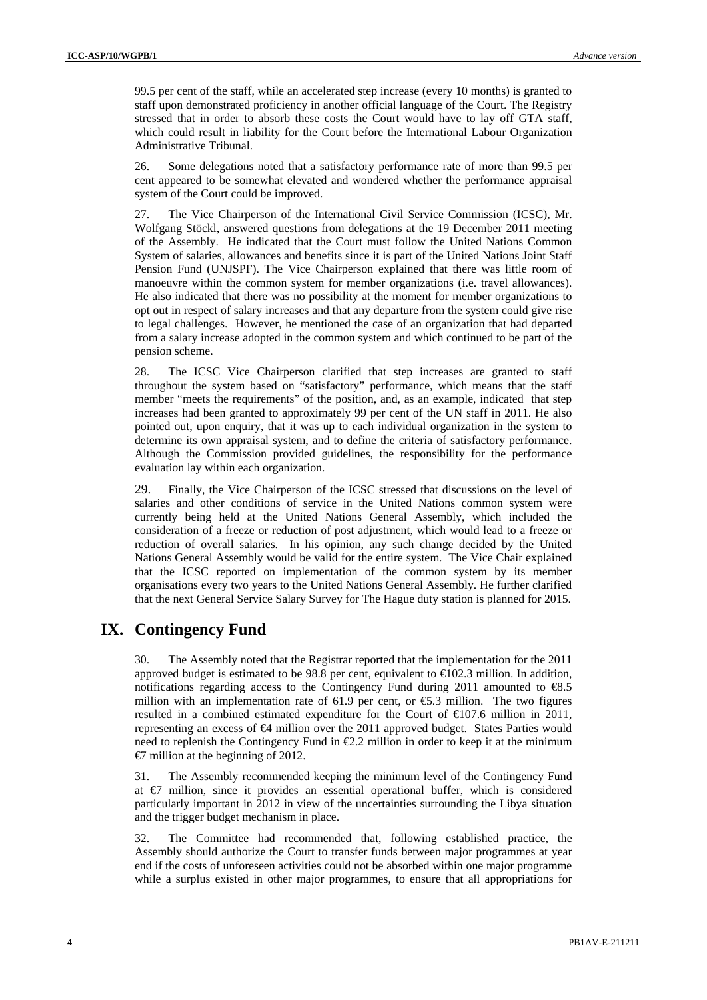99.5 per cent of the staff, while an accelerated step increase (every 10 months) is granted to staff upon demonstrated proficiency in another official language of the Court. The Registry stressed that in order to absorb these costs the Court would have to lay off GTA staff, which could result in liability for the Court before the International Labour Organization Administrative Tribunal.

26. Some delegations noted that a satisfactory performance rate of more than 99.5 per cent appeared to be somewhat elevated and wondered whether the performance appraisal system of the Court could be improved.

27. The Vice Chairperson of the International Civil Service Commission (ICSC), Mr. Wolfgang Stöckl, answered questions from delegations at the 19 December 2011 meeting of the Assembly. He indicated that the Court must follow the United Nations Common System of salaries, allowances and benefits since it is part of the United Nations Joint Staff Pension Fund (UNJSPF). The Vice Chairperson explained that there was little room of manoeuvre within the common system for member organizations (i.e. travel allowances). He also indicated that there was no possibility at the moment for member organizations to opt out in respect of salary increases and that any departure from the system could give rise to legal challenges. However, he mentioned the case of an organization that had departed from a salary increase adopted in the common system and which continued to be part of the pension scheme.

28. The ICSC Vice Chairperson clarified that step increases are granted to staff throughout the system based on "satisfactory" performance, which means that the staff member "meets the requirements" of the position, and, as an example, indicated that step increases had been granted to approximately 99 per cent of the UN staff in 2011. He also pointed out, upon enquiry, that it was up to each individual organization in the system to determine its own appraisal system, and to define the criteria of satisfactory performance. Although the Commission provided guidelines, the responsibility for the performance evaluation lay within each organization.

29. Finally, the Vice Chairperson of the ICSC stressed that discussions on the level of salaries and other conditions of service in the United Nations common system were currently being held at the United Nations General Assembly, which included the consideration of a freeze or reduction of post adjustment, which would lead to a freeze or reduction of overall salaries. In his opinion, any such change decided by the United Nations General Assembly would be valid for the entire system. The Vice Chair explained that the ICSC reported on implementation of the common system by its member organisations every two years to the United Nations General Assembly. He further clarified that the next General Service Salary Survey for The Hague duty station is planned for 2015.

### **IX. Contingency Fund**

30. The Assembly noted that the Registrar reported that the implementation for the 2011 approved budget is estimated to be 98.8 per cent, equivalent to  $\in$  02.3 million. In addition, notifications regarding access to the Contingency Fund during 2011 amounted to €8.5 million with an implementation rate of 61.9 per cent, or  $\epsilon$ 5.3 million. The two figures resulted in a combined estimated expenditure for the Court of €107.6 million in 2011, representing an excess of €4 million over the 2011 approved budget. States Parties would need to replenish the Contingency Fund in  $E.2$  million in order to keep it at the minimum  $\epsilon$  million at the beginning of 2012.

31. The Assembly recommended keeping the minimum level of the Contingency Fund at €7 million, since it provides an essential operational buffer, which is considered particularly important in 2012 in view of the uncertainties surrounding the Libya situation and the trigger budget mechanism in place.

32. The Committee had recommended that, following established practice, the Assembly should authorize the Court to transfer funds between major programmes at year end if the costs of unforeseen activities could not be absorbed within one major programme while a surplus existed in other major programmes, to ensure that all appropriations for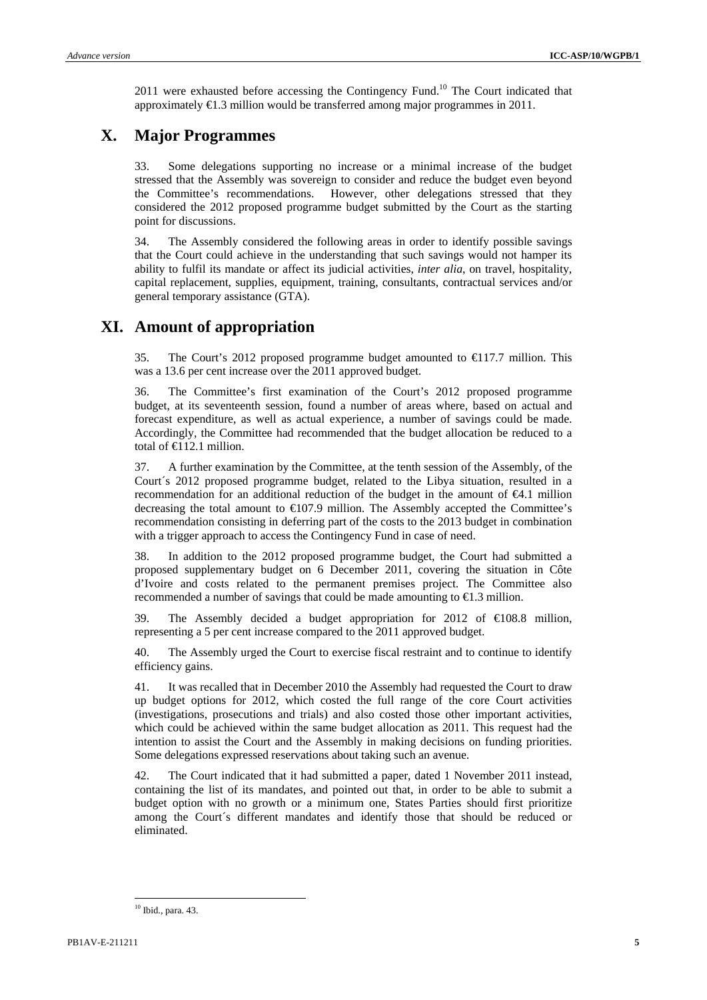2011 were exhausted before accessing the Contingency Fund.<sup>10</sup> The Court indicated that approximately  $\epsilon 1.3$  million would be transferred among major programmes in 2011.

### **X. Major Programmes**

33. Some delegations supporting no increase or a minimal increase of the budget stressed that the Assembly was sovereign to consider and reduce the budget even beyond the Committee's recommendations. However, other delegations stressed that they considered the 2012 proposed programme budget submitted by the Court as the starting point for discussions.

34. The Assembly considered the following areas in order to identify possible savings that the Court could achieve in the understanding that such savings would not hamper its ability to fulfil its mandate or affect its judicial activities, *inter alia*, on travel, hospitality, capital replacement, supplies, equipment, training, consultants, contractual services and/or general temporary assistance (GTA).

### **XI. Amount of appropriation**

35. The Court's 2012 proposed programme budget amounted to  $\bigoplus$  17.7 million. This was a 13.6 per cent increase over the 2011 approved budget.

36. The Committee's first examination of the Court's 2012 proposed programme budget, at its seventeenth session, found a number of areas where, based on actual and forecast expenditure, as well as actual experience, a number of savings could be made. Accordingly, the Committee had recommended that the budget allocation be reduced to a total of  $\bigoplus$  12.1 million.

37. A further examination by the Committee, at the tenth session of the Assembly, of the Court´s 2012 proposed programme budget, related to the Libya situation, resulted in a recommendation for an additional reduction of the budget in the amount of  $\epsilon 4.1$  million decreasing the total amount to  $\bigoplus$  07.9 million. The Assembly accepted the Committee's recommendation consisting in deferring part of the costs to the 2013 budget in combination with a trigger approach to access the Contingency Fund in case of need.

38. In addition to the 2012 proposed programme budget, the Court had submitted a proposed supplementary budget on 6 December 2011, covering the situation in Côte d'Ivoire and costs related to the permanent premises project. The Committee also recommended a number of savings that could be made amounting to  $\epsilon$ 1.3 million.

39. The Assembly decided a budget appropriation for 2012 of  $\bigoplus 08.8$  million, representing a 5 per cent increase compared to the 2011 approved budget.

40. The Assembly urged the Court to exercise fiscal restraint and to continue to identify efficiency gains.

41. It was recalled that in December 2010 the Assembly had requested the Court to draw up budget options for 2012, which costed the full range of the core Court activities (investigations, prosecutions and trials) and also costed those other important activities, which could be achieved within the same budget allocation as 2011. This request had the intention to assist the Court and the Assembly in making decisions on funding priorities. Some delegations expressed reservations about taking such an avenue.

42. The Court indicated that it had submitted a paper, dated 1 November 2011 instead, containing the list of its mandates, and pointed out that, in order to be able to submit a budget option with no growth or a minimum one, States Parties should first prioritize among the Court´s different mandates and identify those that should be reduced or eliminated.

 10 Ibid., para. 43.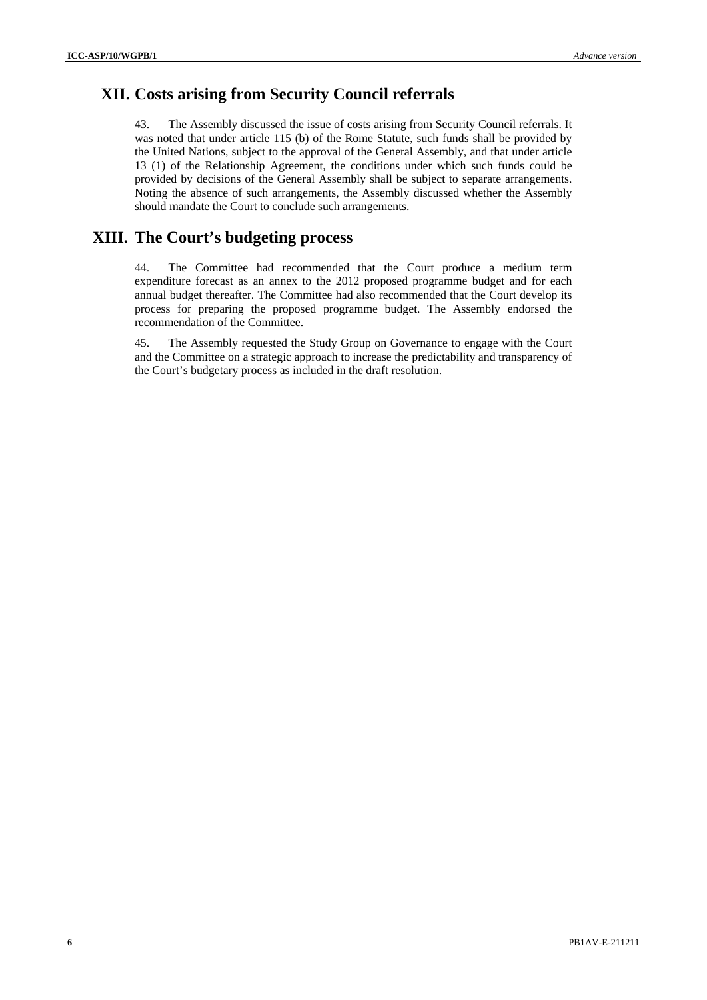### **XII. Costs arising from Security Council referrals**

43. The Assembly discussed the issue of costs arising from Security Council referrals. It was noted that under article 115 (b) of the Rome Statute, such funds shall be provided by the United Nations, subject to the approval of the General Assembly, and that under article 13 (1) of the Relationship Agreement, the conditions under which such funds could be provided by decisions of the General Assembly shall be subject to separate arrangements. Noting the absence of such arrangements, the Assembly discussed whether the Assembly should mandate the Court to conclude such arrangements.

### **XIII. The Court's budgeting process**

44. The Committee had recommended that the Court produce a medium term expenditure forecast as an annex to the 2012 proposed programme budget and for each annual budget thereafter. The Committee had also recommended that the Court develop its process for preparing the proposed programme budget. The Assembly endorsed the recommendation of the Committee.

45. The Assembly requested the Study Group on Governance to engage with the Court and the Committee on a strategic approach to increase the predictability and transparency of the Court's budgetary process as included in the draft resolution.